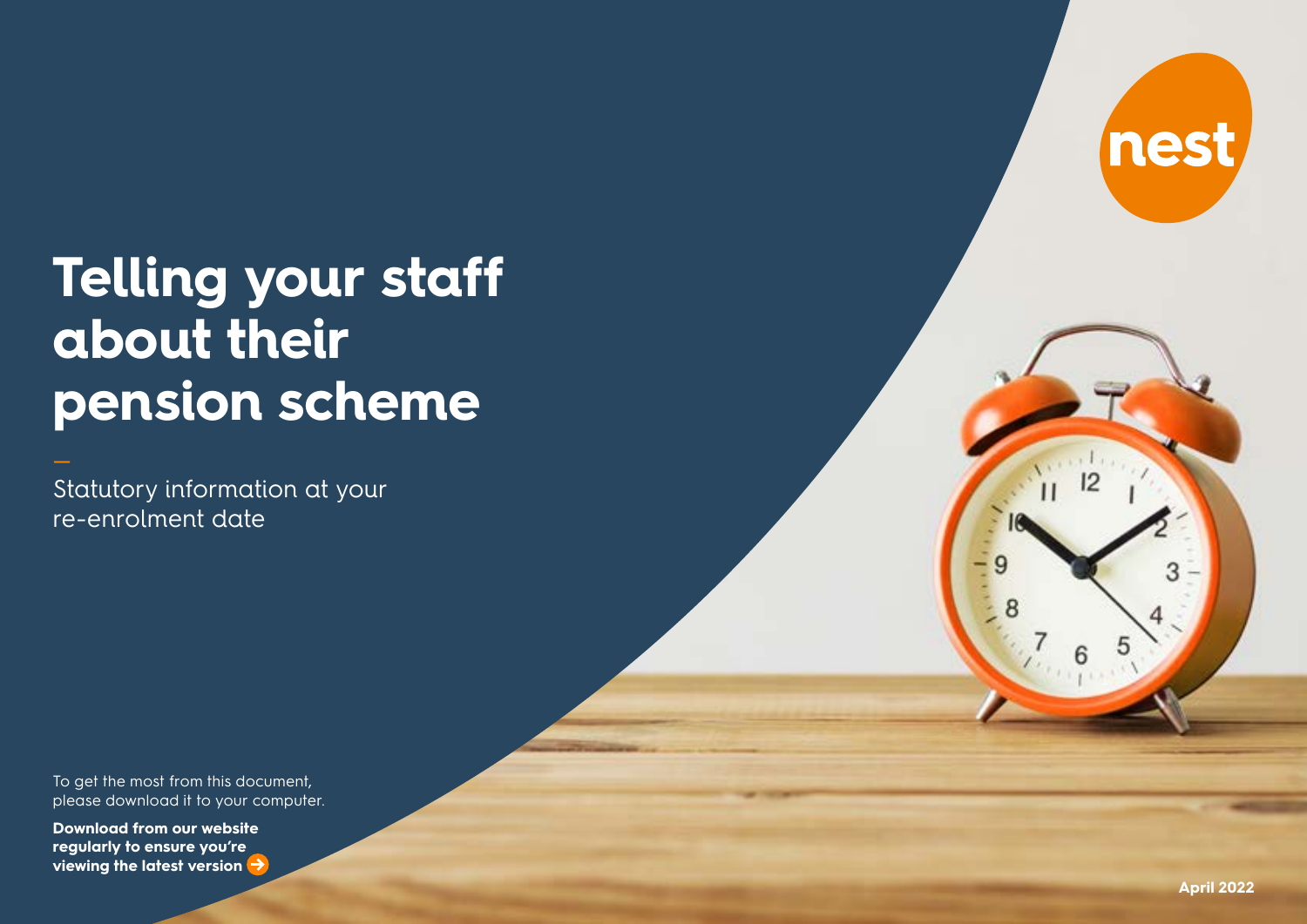# **Telling your staff about their pension scheme**

Statutory information at your re-enrolment date

To get the most from this document, please download it to your computer.

**viewing the latest version** ( **[Download from our website](https://nestpensions.org.uk/schemeweb/nest/employers/talking-to-your-workers/employer-duties-tookit.html)  [regularly to ensure you're](https://nestpensions.org.uk/schemeweb/nest/employers/talking-to-your-workers/employer-duties-tookit.html)** 

nest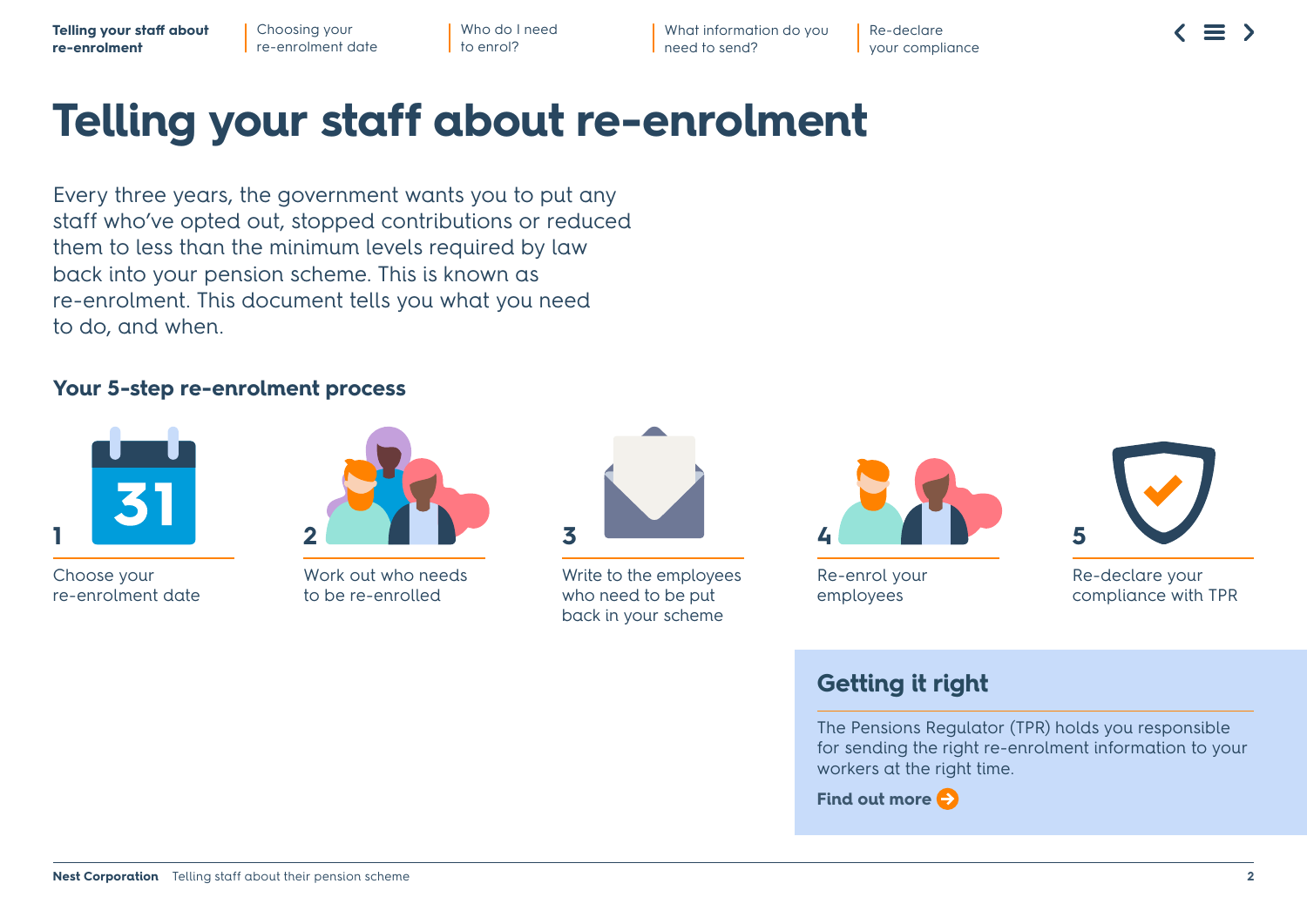What information do you need to send?

Re-declare your compliance

## **Telling your staff about re-enrolment**

Every three years, the government wants you to put any staff who've opted out, stopped contributions or reduced them to less than the minimum levels required by law back into your pension scheme. This is known as re-enrolment. This document tells you what you need to do, and when.

#### **Your 5-step re-enrolment process**



Choose your re-enrolment date



Work out who needs to be re-enrolled



Write to the employees who need to be put back in your scheme



Re-enrol your employees

Re-declare your compliance with TPR

#### **Getting it right**

The Pensions Regulator (TPR) holds you responsible for sending the right re-enrolment information to your workers at the right time.

**[Find out more](https://www.thepensionsregulator.gov.uk/en/employers/re-enrolment)**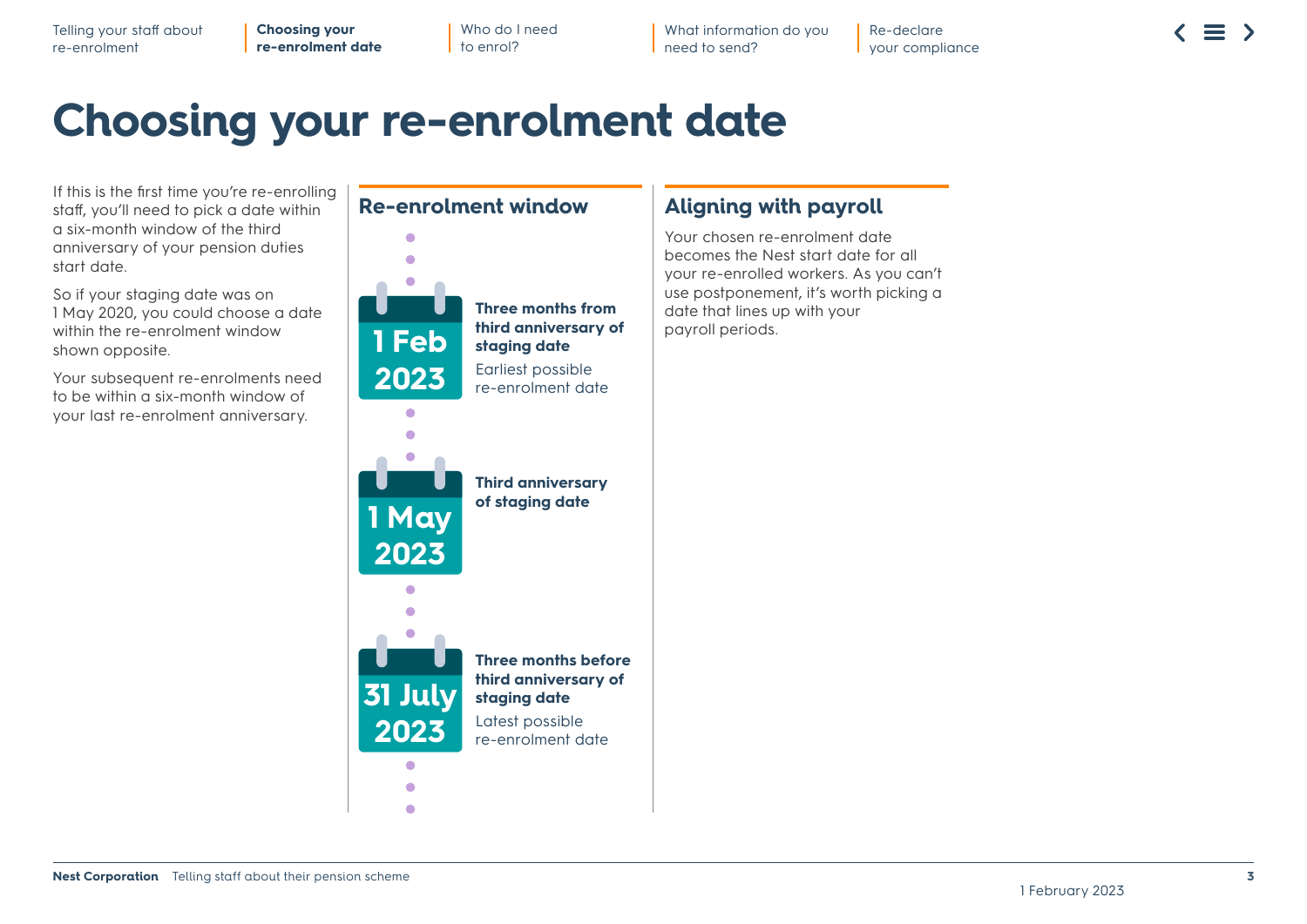Telling your staff about re-enrolment

**Choosing your re-enrolment date** Who do I need to enrol?

**Re-enrolment window**

What information do you need to send?

Re-declare your compliance  $\equiv$ 

### **Choosing your re-enrolment date**

If this is the first time you're re-enrolling staff, you'll need to pick a date within a six-month window of the third anniversary of your pension duties start date.

So if your staging date was on 1 May 2020, you could choose a date within the re-enrolment window shown opposite.

Your subsequent re-enrolments need to be within a six-month window of your last re-enrolment anniversary.



#### **Aligning with payroll**

Your chosen re-enrolment date becomes the Nest start date for all your re-enrolled workers. As you can't use postponement, it's worth picking a date that lines up with your payroll periods.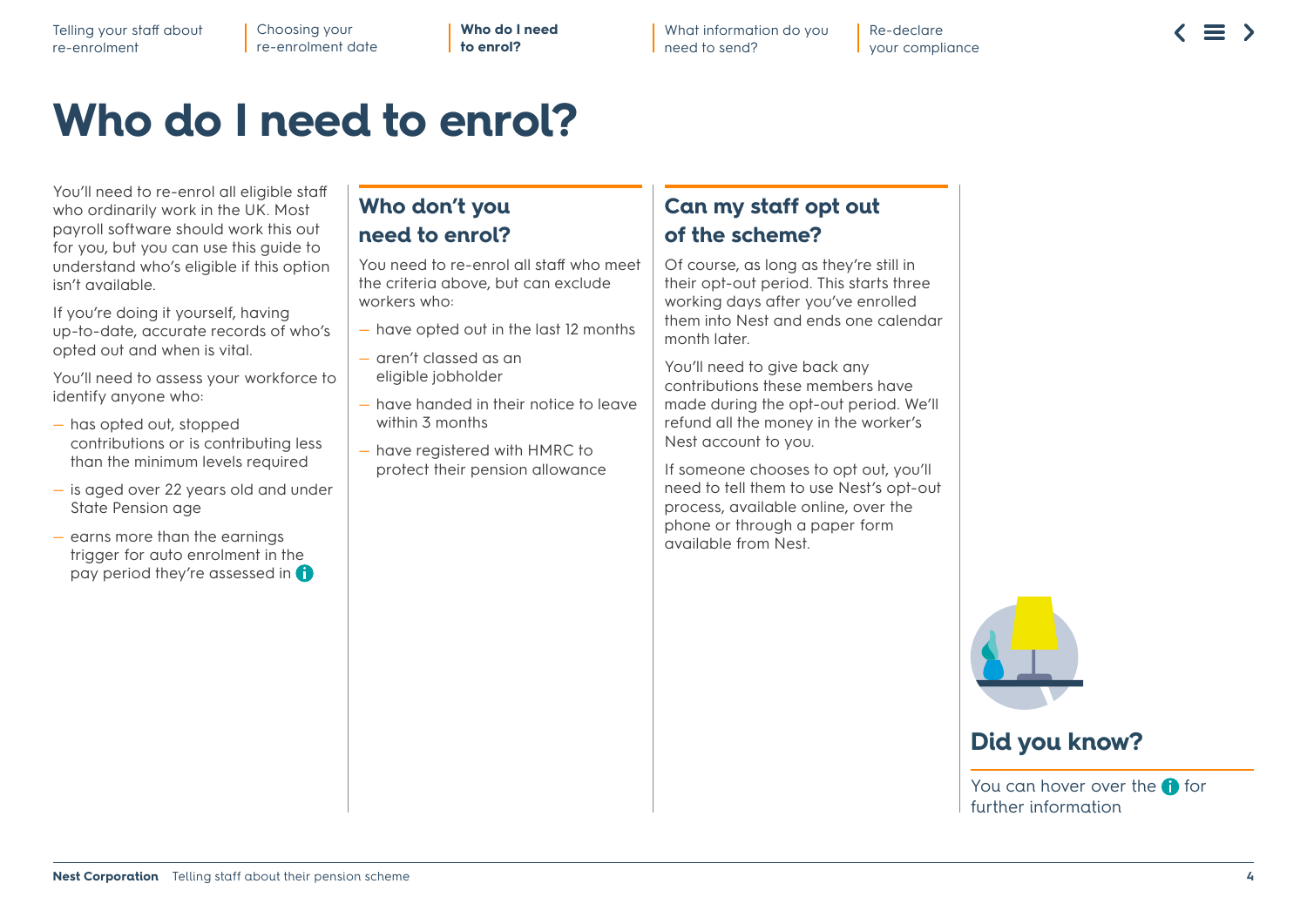What information do you need to send?

### **Who do I need to enrol?**

You'll need to re-enrol all eligible staff who ordinarily work in the UK. Most payroll software should work this out for you, but you can use this guide to understand who's eligible if this option isn't available.

If you're doing it yourself, having up-to-date, accurate records of who's opted out and when is vital.

You'll need to assess your workforce to identify anyone who:

- has opted out, stopped contributions or is contributing less than the minimum levels required
- is aged over 22 years old and under State Pension age
- earns more than the earnings trigger for auto enrolment in the pay period they're assessed in

#### **Who don't you need to enrol?**

You need to re-enrol all staff who meet the criteria above, but can exclude workers who:

- have opted out in the last 12 months
- aren't classed as an eligible jobholder
- have handed in their notice to leave within 3 months
- have registered with HMRC to protect their pension allowance

#### **Can my staff opt out of the scheme?**

Of course, as long as they're still in their opt-out period. This starts three working days after you've enrolled them into Nest and ends one calendar month later.

You'll need to give back any contributions these members have made during the opt-out period. We'll refund all the money in the worker's Nest account to you.

If someone chooses to opt out, you'll need to tell them to use Nest's opt-out process, available online, over the phone or through a paper form available from Nest.



### **Did you know?**

You can hover over the  $\bigoplus$  for further information

#### **Does your worker earn more than:**

£192 per week £384 per fortnight £768 every four weeks £833 per month £2,499 per quarter £4,998 bi-annually £10,000 per year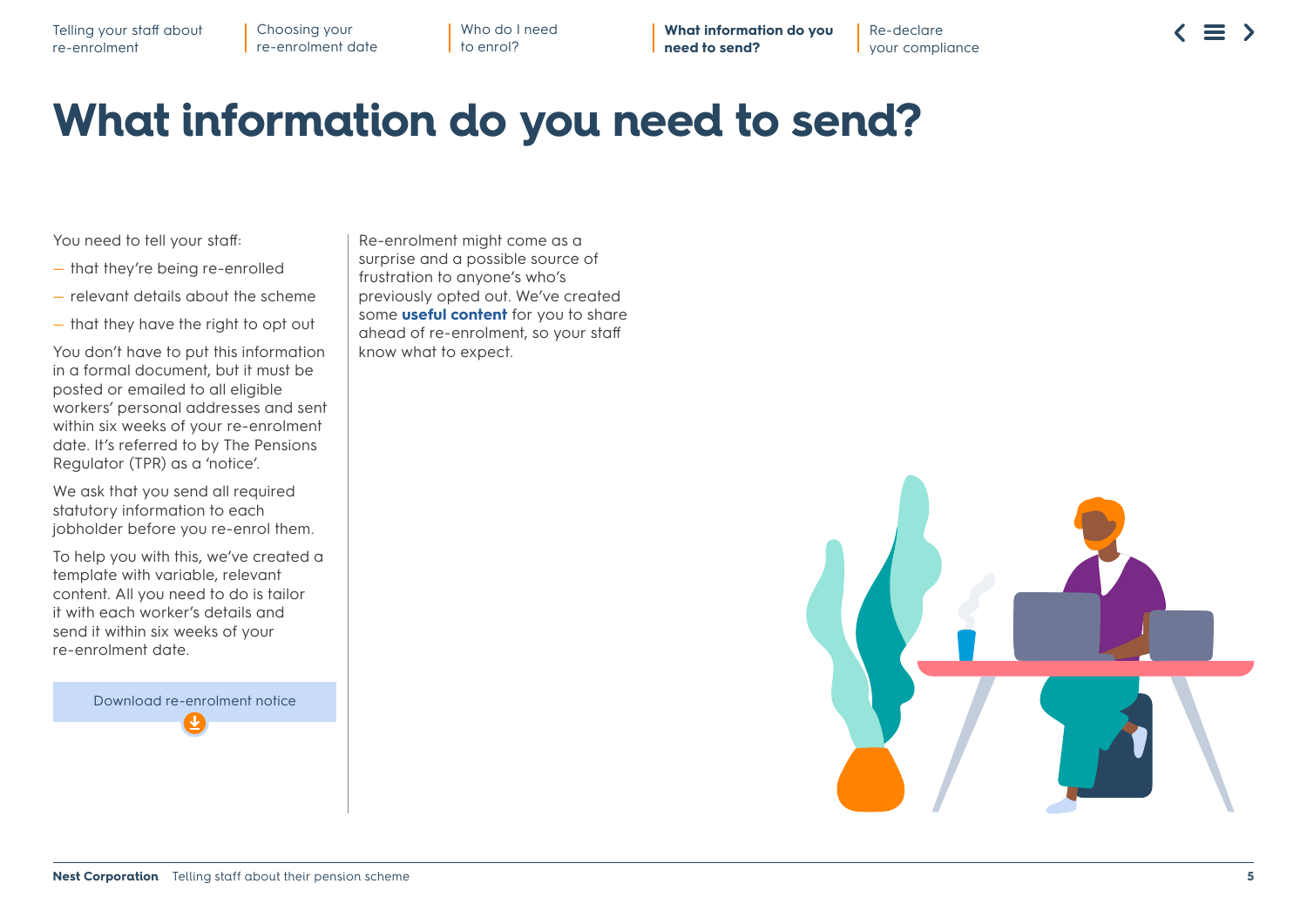**What information do you need to send?**

Re-declare your compliance

### **What information do you need to send?**

You need to tell your staff:

- that they're being re-enrolled
- relevant details about the scheme
- that they have the right to opt out

You don't have to put this information in a formal document, but it must be posted or emailed to all eligible workers' personal addresses and sent within six weeks of your re-enrolment date. It's referred to by The Pensions Regulator (TPR) as a 'notice'.

We ask that you send all required statutory information to each jobholder before you re-enrol them.

To help you with this, we've created a template with variable, relevant content. All you need to do is tailor it with each worker's details and send it within six weeks of your re-enrolment date.

Download r[e-enro](https://www.nestpensions.org.uk/schemeweb/dam/nestlibrary/re-enrolment-notice.docx)lment notice

Re-enrolment might come as a surprise and a possible source of frustration to anyone's who's previously opted out. We've created some **[useful content](https://www.nestpensions.org.uk/schemeweb/nest/employers/talking-to-your-workers.html)** for you to share ahead of re-enrolment, so your staff know what to expect.

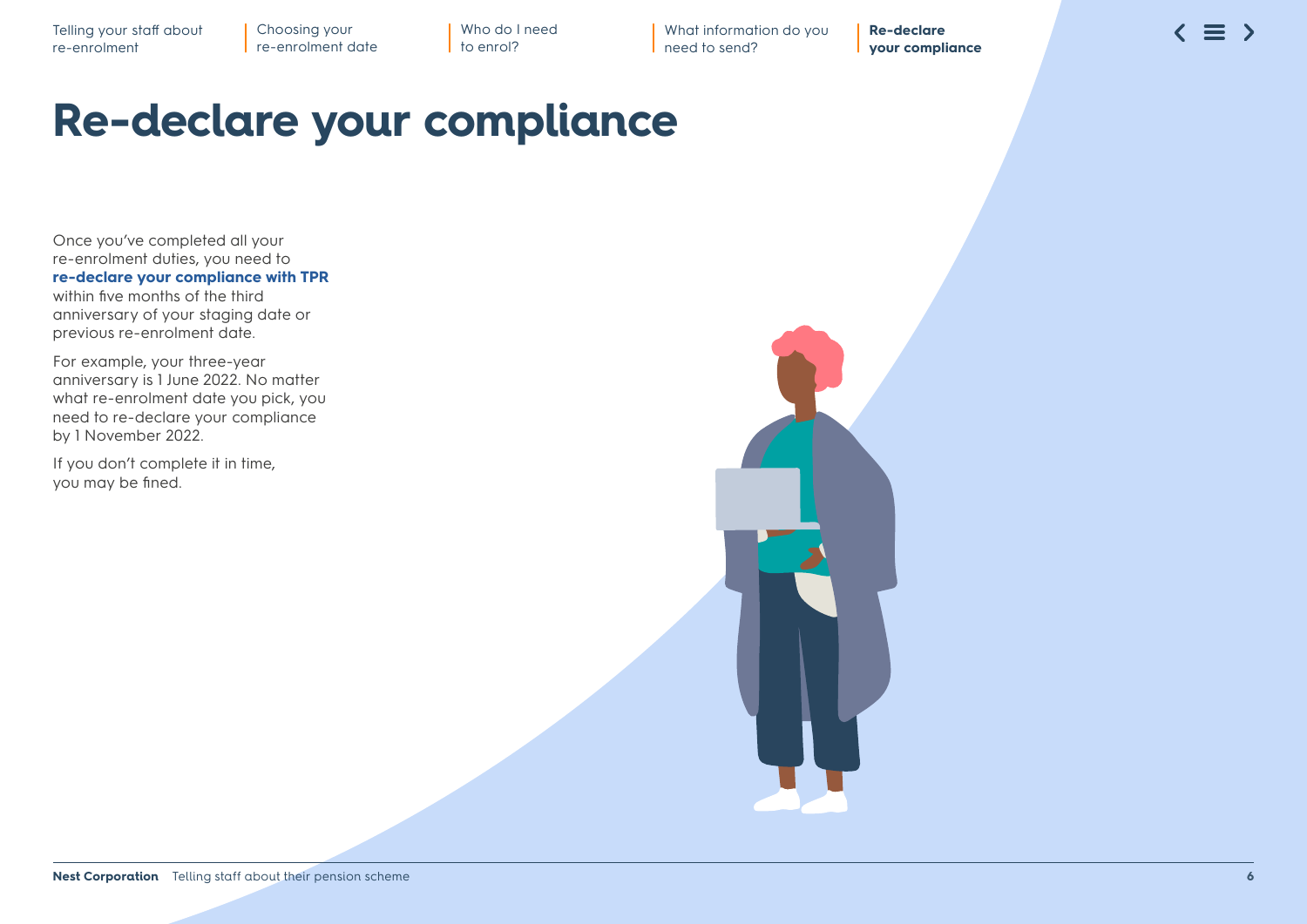What information do you need to send?

**Re-declare your compliance**

### **Re-declare your compliance**

Once you've completed all your re-enrolment duties, you need to **[re-declare your compliance with TPR](https://www.autoenrol.tpr.gov.uk/)** within five months of the third anniversary of your staging date or previous re-enrolment date.

For example, your three-year anniversary is 1 June 2022. No matter what re-enrolment date you pick, you need to re-declare your compliance by 1 November 2022.

If you don't complete it in time, you may be fined.